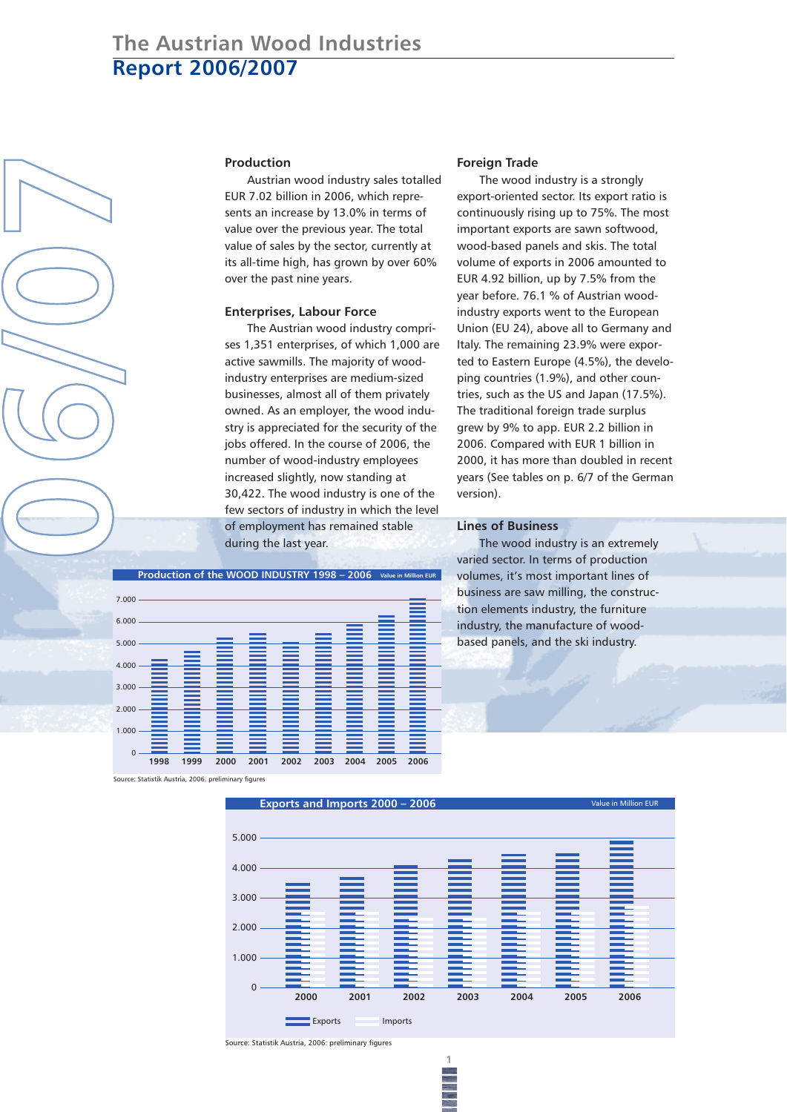# **The Austrian Wood Industries Report 2006/2007**

### **Production**

Austrian wood industry sales totalled EUR 7.02 billion in 2006, which represents an increase by 13.0% in terms of value over the previous year. The total value of sales by the sector, currently at its all-time high, has grown by over 60% over the past nine years.

### **Enterprises, Labour Force**

The Austrian wood industry comprises 1,351 enterprises, of which 1,000 are active sawmills. The majority of woodindustry enterprises are medium-sized businesses, almost all of them privately owned. As an employer, the wood industry is appreciated for the security of the jobs offered. In the course of 2006, the number of wood-industry employees increased slightly, now standing at 30,422. The wood industry is one of the few sectors of industry in which the level of employment has remained stable during the last year.

#### **Foreign Trade**

The wood industry is a strongly export-oriented sector. Its export ratio is continuously rising up to 75%. The most important exports are sawn softwood, wood-based panels and skis. The total volume of exports in 2006 amounted to EUR 4.92 billion, up by 7.5% from the year before. 76.1 % of Austrian woodindustry exports went to the European Union (EU 24), above all to Germany and Italy. The remaining 23.9% were exported to Eastern Europe (4.5%), the developing countries (1.9%), and other countries, such as the US and Japan (17.5%). The traditional foreign trade surplus grew by 9% to app. EUR 2.2 billion in 2006. Compared with EUR 1 billion in 2000, it has more than doubled in recent years (See tables on p. 6/7 of the German version).

### **Lines of Business**

The wood industry is an extremely varied sector. In terms of production volumes, it's most important lines of business are saw milling, the construction elements industry, the furniture industry, the manufacture of woodbased panels, and the ski industry.



Source: Statistik Austria, 2006: preliminary figures

**0**

**6**

**/**

**0**

**7**



**1**

Source: Statistik Austria, 2006: preliminary figures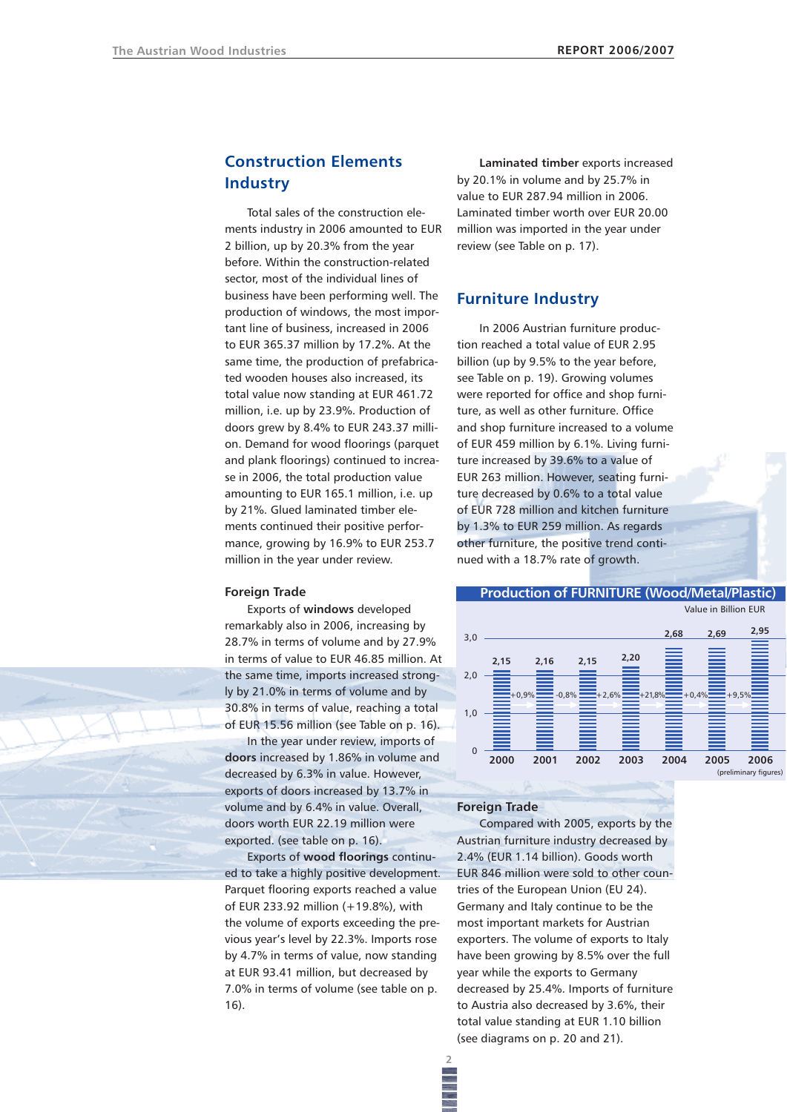## **Construction Elements Industry**

Total sales of the construction elements industry in 2006 amounted to EUR 2 billion, up by 20.3% from the year before. Within the construction-related sector, most of the individual lines of business have been performing well. The production of windows, the most important line of business, increased in 2006 to EUR 365.37 million by 17.2%. At the same time, the production of prefabricated wooden houses also increased, its total value now standing at EUR 461.72 million, i.e. up by 23.9%. Production of doors grew by 8.4% to EUR 243.37 million. Demand for wood floorings (parquet and plank floorings) continued to increase in 2006, the total production value amounting to EUR 165.1 million, i.e. up by 21%. Glued laminated timber elements continued their positive performance, growing by 16.9% to EUR 253.7 million in the year under review.

### **Foreign Trade**

Exports of **windows** developed remarkably also in 2006, increasing by 28.7% in terms of volume and by 27.9% in terms of value to EUR 46.85 million. At the same time, imports increased strongly by 21.0% in terms of volume and by 30.8% in terms of value, reaching a total of EUR 15.56 million (see Table on p. 16).

In the year under review, imports of **doors** increased by 1.86% in volume and decreased by 6.3% in value. However, exports of doors increased by 13.7% in volume and by 6.4% in value. Overall, doors worth EUR 22.19 million were exported. (see table on p. 16).

Exports of **wood floorings** continued to take a highly positive development. Parquet flooring exports reached a value of EUR 233.92 million (+19.8%), with the volume of exports exceeding the previous year's level by 22.3%. Imports rose by 4.7% in terms of value, now standing at EUR 93.41 million, but decreased by 7.0% in terms of volume (see table on p. 16).

**Laminated timber** exports increased by 20.1% in volume and by 25.7% in value to EUR 287.94 million in 2006. Laminated timber worth over EUR 20.00 million was imported in the year under review (see Table on p. 17).

### **Furniture Industry**

In 2006 Austrian furniture production reached a total value of EUR 2.95 billion (up by 9.5% to the year before, see Table on p. 19). Growing volumes were reported for office and shop furniture, as well as other furniture. Office and shop furniture increased to a volume of EUR 459 million by 6.1%. Living furniture increased by 39.6% to a value of EUR 263 million. However, seating furniture decreased by 0.6% to a total value of EUR 728 million and kitchen furniture by 1.3% to EUR 259 million. As regards other furniture, the positive trend continued with a 18.7% rate of growth.



### **Foreign Trade**

**2**

Compared with 2005, exports by the Austrian furniture industry decreased by 2.4% (EUR 1.14 billion). Goods worth EUR 846 million were sold to other countries of the European Union (EU 24). Germany and Italy continue to be the most important markets for Austrian exporters. The volume of exports to Italy have been growing by 8.5% over the full year while the exports to Germany decreased by 25.4%. Imports of furniture to Austria also decreased by 3.6%, their total value standing at EUR 1.10 billion (see diagrams on p. 20 and 21).

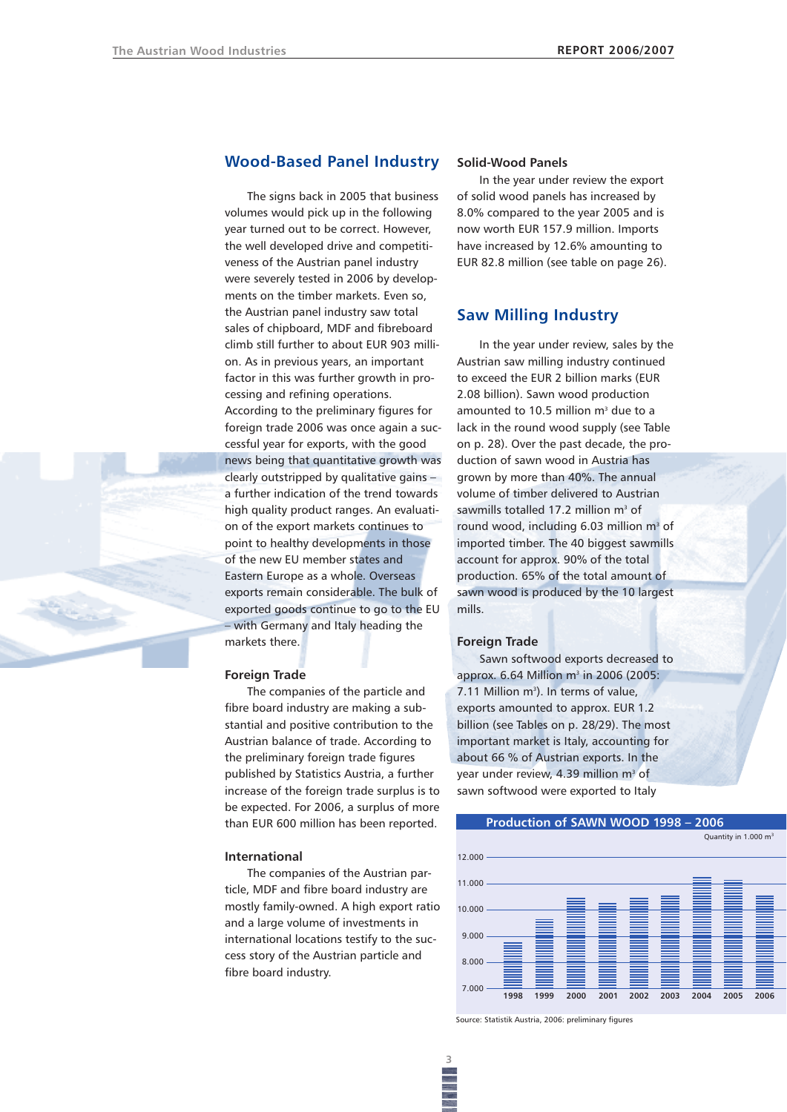

### **Wood-Based Panel Industry**

The signs back in 2005 that business volumes would pick up in the following year turned out to be correct. However, the well developed drive and competitiveness of the Austrian panel industry were severely tested in 2006 by developments on the timber markets. Even so, the Austrian panel industry saw total sales of chipboard, MDF and fibreboard climb still further to about EUR 903 million. As in previous years, an important factor in this was further growth in processing and refining operations. According to the preliminary figures for foreign trade 2006 was once again a successful year for exports, with the good news being that quantitative growth was clearly outstripped by qualitative gains – a further indication of the trend towards high quality product ranges. An evaluation of the export markets continues to point to healthy developments in those of the new EU member states and Eastern Europe as a whole. Overseas exports remain considerable. The bulk of exported goods continue to go to the EU – with Germany and Italy heading the markets there.

#### **Foreign Trade**

The companies of the particle and fibre board industry are making a substantial and positive contribution to the Austrian balance of trade. According to the preliminary foreign trade figures published by Statistics Austria, a further increase of the foreign trade surplus is to be expected. For 2006, a surplus of more than EUR 600 million has been reported.

### **International**

The companies of the Austrian particle, MDF and fibre board industry are mostly family-owned. A high export ratio and a large volume of investments in international locations testify to the success story of the Austrian particle and fibre board industry.

### **Solid-Wood Panels**

In the year under review the export of solid wood panels has increased by 8.0% compared to the year 2005 and is now worth EUR 157.9 million. Imports have increased by 12.6% amounting to EUR 82.8 million (see table on page 26).

### **Saw Milling Industry**

In the year under review, sales by the Austrian saw milling industry continued to exceed the EUR 2 billion marks (EUR 2.08 billion). Sawn wood production amounted to 10.5 million  $m<sup>3</sup>$  due to a lack in the round wood supply (see Table on p. 28). Over the past decade, the production of sawn wood in Austria has grown by more than 40%. The annual volume of timber delivered to Austrian sawmills totalled 17.2 million  $m<sup>3</sup>$  of round wood, including  $6.03$  million m<sup>3</sup> of imported timber. The 40 biggest sawmills account for approx. 90% of the total production. 65% of the total amount of sawn wood is produced by the 10 largest mills.

### **Foreign Trade**

Sawn softwood exports decreased to approx.  $6.64$  Million m<sup>3</sup> in 2006 (2005: 7.11 Million m<sup>3</sup>). In terms of value, exports amounted to approx. EUR 1.2 billion (see Tables on p. 28/29). The most important market is Italy, accounting for about 66 % of Austrian exports. In the year under review, 4.39 million m<sup>3</sup> of sawn softwood were exported to Italy



Source: Statistik Austria, 2006: preliminary figures

**3**